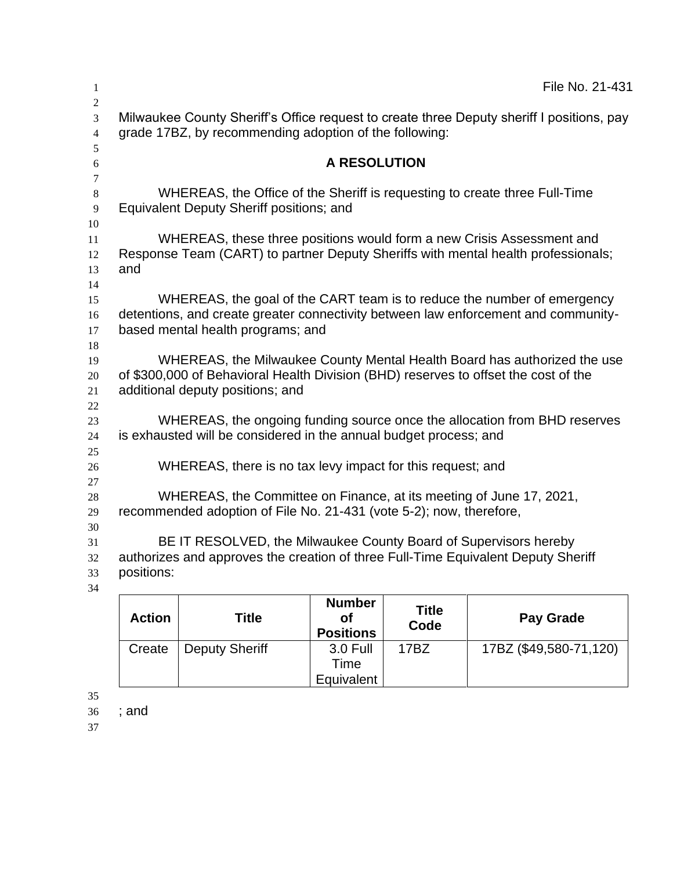|                                                                                                                                                                     | File No. 21-431                                                           |
|---------------------------------------------------------------------------------------------------------------------------------------------------------------------|---------------------------------------------------------------------------|
| Milwaukee County Sheriff's Office request to create three Deputy sheriff I positions, pay<br>grade 17BZ, by recommending adoption of the following:                 |                                                                           |
| <b>A RESOLUTION</b>                                                                                                                                                 |                                                                           |
| WHEREAS, the Office of the Sheriff is requesting to create three Full-Time<br>Equivalent Deputy Sheriff positions; and                                              |                                                                           |
| WHEREAS, these three positions would form a new Crisis Assessment and<br>Response Team (CART) to partner Deputy Sheriffs with mental health professionals;<br>and   |                                                                           |
| detentions, and create greater connectivity between law enforcement and community-<br>based mental health programs; and                                             | WHEREAS, the goal of the CART team is to reduce the number of emergency   |
| of \$300,000 of Behavioral Health Division (BHD) reserves to offset the cost of the<br>additional deputy positions; and                                             | WHEREAS, the Milwaukee County Mental Health Board has authorized the use  |
| is exhausted will be considered in the annual budget process; and                                                                                                   | WHEREAS, the ongoing funding source once the allocation from BHD reserves |
| WHEREAS, there is no tax levy impact for this request; and                                                                                                          |                                                                           |
| WHEREAS, the Committee on Finance, at its meeting of June 17, 2021,<br>recommended adoption of File No. 21-431 (vote 5-2); now, therefore,                          |                                                                           |
| BE IT RESOLVED, the Milwaukee County Board of Supervisors hereby<br>authorizes and approves the creation of three Full-Time Equivalent Deputy Sheriff<br>positions: |                                                                           |
| <b>Number</b>                                                                                                                                                       | -----                                                                     |

| <b>Action</b> | Title          | <b>Number</b><br>Οt<br><b>Positions</b> | Title<br>Code | <b>Pay Grade</b>       |
|---------------|----------------|-----------------------------------------|---------------|------------------------|
| Create        | Deputy Sheriff | 3.0 Full<br>Time                        | 17BZ          | 17BZ (\$49,580-71,120) |
|               |                | Equivalent                              |               |                        |

; and 36<br>37